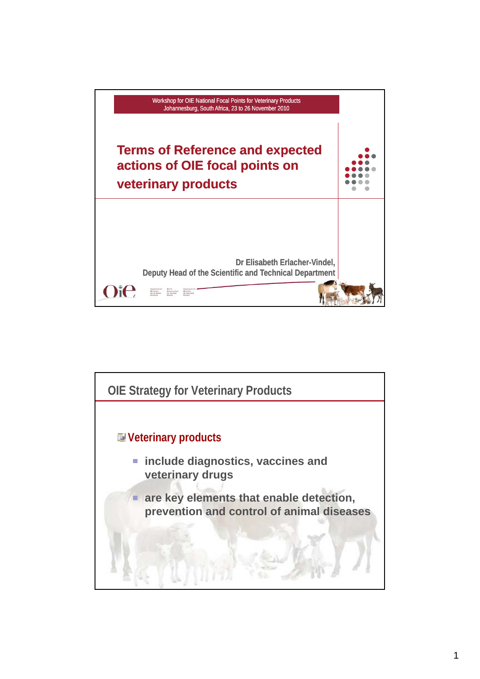

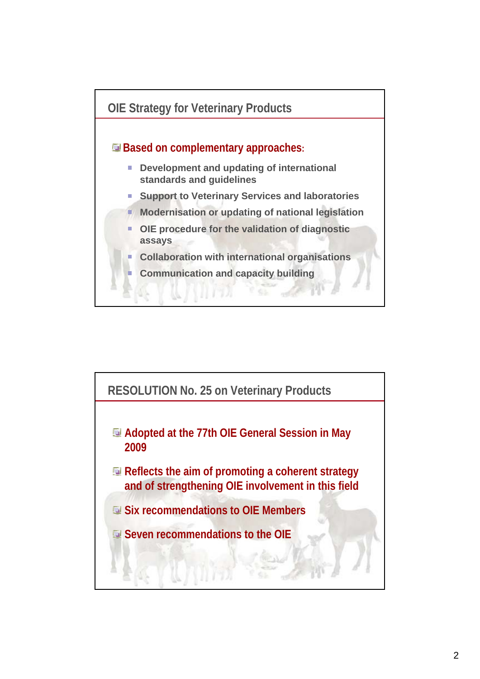

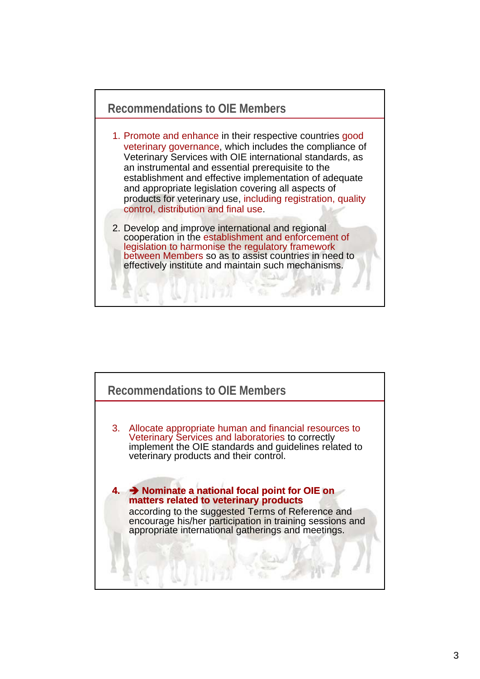

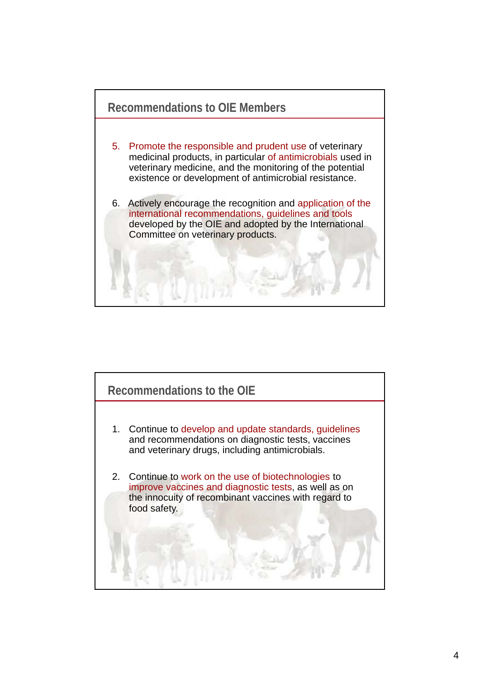

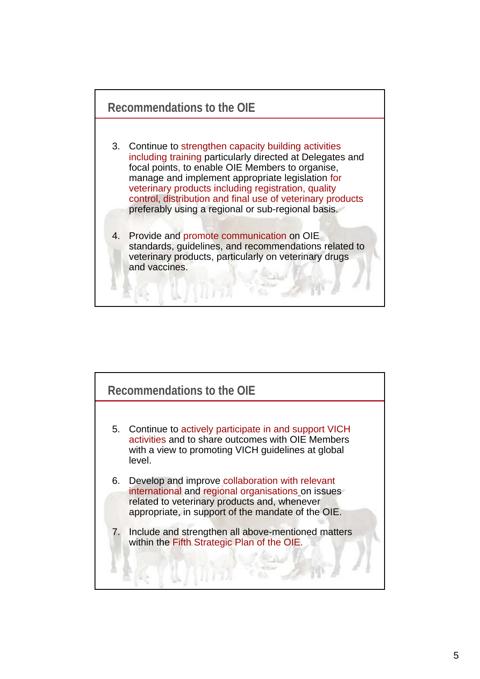

- 3. Continue to strengthen capacity building activities including training particularly directed at Delegates and focal points, to enable OIE Members to organise, manage and implement appropriate legislation for veterinary products including registration, quality control, distribution and final use of veterinary products preferably using a regional or sub-regional basis.
- 4. Provide and promote communication on OIE standards, guidelines, and recommendations related to veterinary products, particularly on veterinary drugs and vaccines.

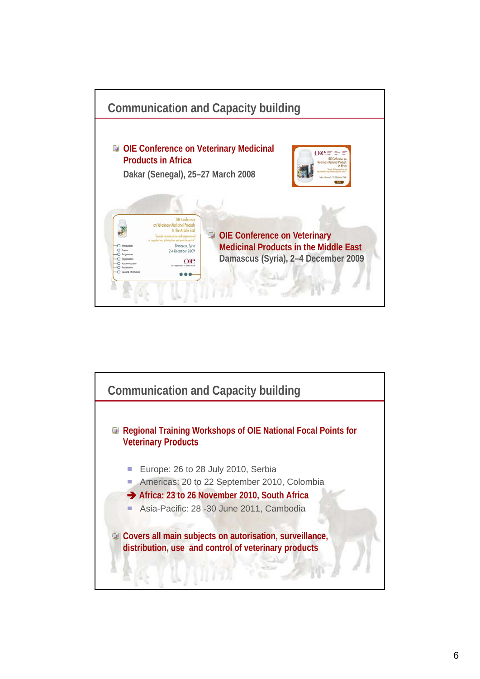

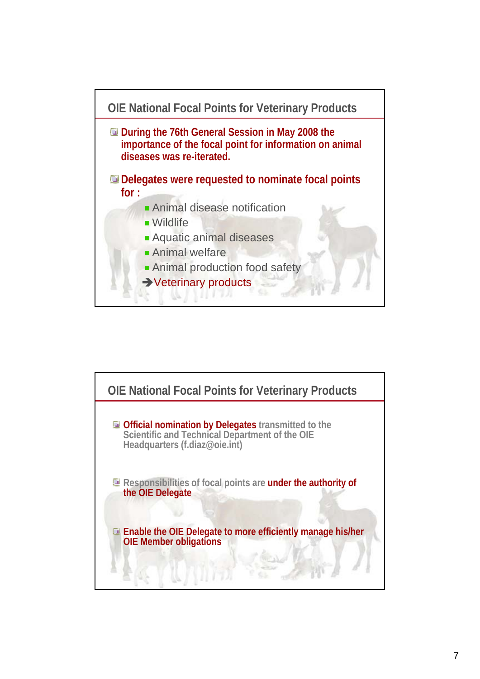

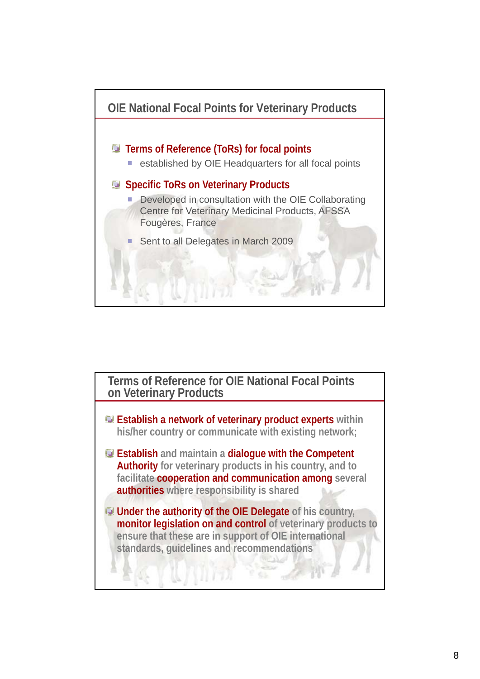

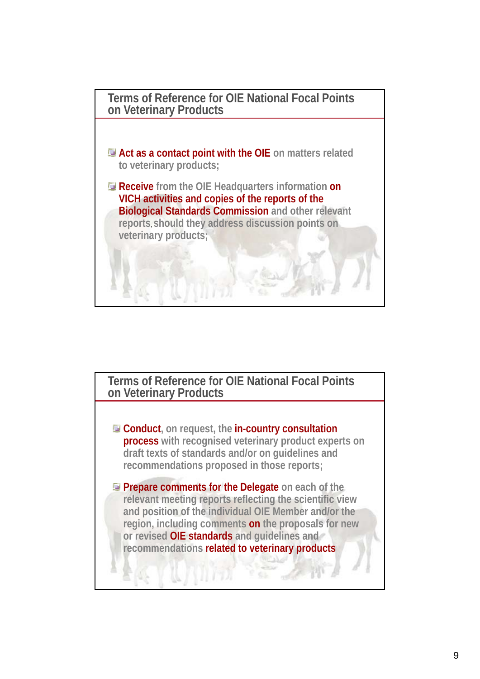

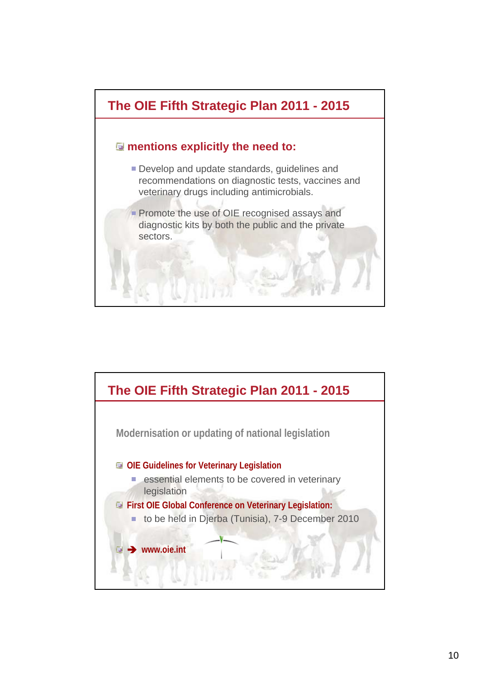